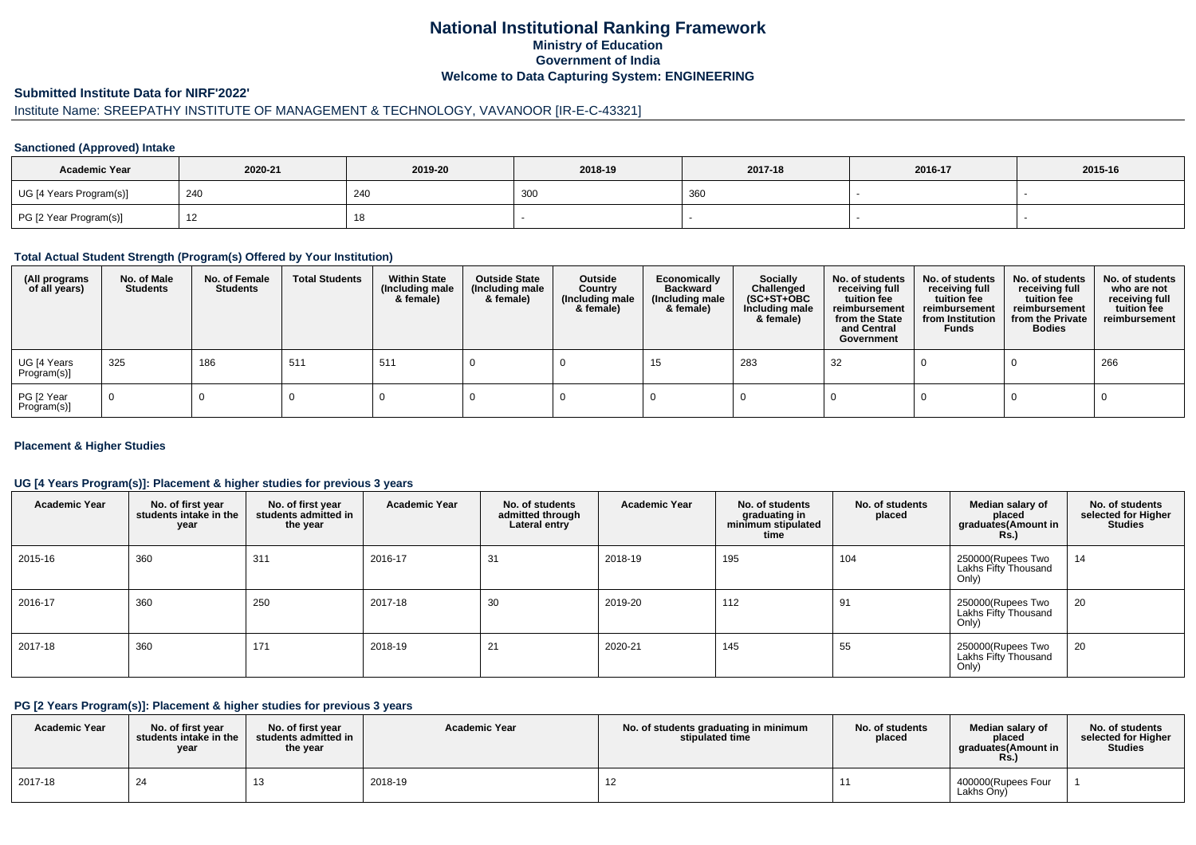## **National Institutional Ranking FrameworkMinistry of Education Government of IndiaWelcome to Data Capturing System: ENGINEERING**

#### **Submitted Institute Data for NIRF'2022'**

## Institute Name: SREEPATHY INSTITUTE OF MANAGEMENT & TECHNOLOGY, VAVANOOR [IR-E-C-43321]

#### **Sanctioned (Approved) Intake**

| <b>Academic Year</b>    | 2020-21               | 2019-20    | 2018-19   | 2017-18 | 2016-17 | 2015-16 |
|-------------------------|-----------------------|------------|-----------|---------|---------|---------|
| UG [4 Years Program(s)] | 240                   | 240        | וחר<br>יש | 360     |         |         |
| PG [2 Year Program(s)]  | $\overline{A}$<br>╶╹┻ | 4 C<br>18. |           |         |         |         |

#### **Total Actual Student Strength (Program(s) Offered by Your Institution)**

| (All programs<br>of all years) | No. of Male<br><b>Students</b> | No. of Female<br>Students | <b>Total Students</b> | <b>Within State</b><br>(Including male<br>& female) | <b>Outside State</b><br>(Including male<br>& female) | Outside<br>Country<br>(Including male<br>& female) | Economically<br><b>Backward</b><br>(Including male<br>& female) | <b>Socially</b><br>Challenged<br>$(SC+ST+OBC)$<br>Including male<br>& female) | No. of students<br>receiving full<br>tuition fee<br>reimbursement<br>from the State<br>and Central<br>Government | No. of students<br>receiving full<br>tuition fee<br>reimbursement<br>from Institution<br><b>Funds</b> | No. of students<br>receiving full<br>tuition fee<br>reimbursement<br>from the Private<br><b>Bodies</b> | No. of students<br>who are not<br>receiving full<br>tuition fee<br>reimbursement |
|--------------------------------|--------------------------------|---------------------------|-----------------------|-----------------------------------------------------|------------------------------------------------------|----------------------------------------------------|-----------------------------------------------------------------|-------------------------------------------------------------------------------|------------------------------------------------------------------------------------------------------------------|-------------------------------------------------------------------------------------------------------|--------------------------------------------------------------------------------------------------------|----------------------------------------------------------------------------------|
| UG [4 Years<br>Program(s)]     | 325                            | 186                       | 511                   | 511                                                 |                                                      |                                                    | 15                                                              | 283                                                                           | 32                                                                                                               |                                                                                                       |                                                                                                        | 266                                                                              |
| PG [2 Year<br>Program(s)]      | $\Omega$                       |                           |                       |                                                     |                                                      |                                                    |                                                                 |                                                                               |                                                                                                                  |                                                                                                       |                                                                                                        |                                                                                  |

#### **Placement & Higher Studies**

#### **UG [4 Years Program(s)]: Placement & higher studies for previous 3 years**

| <b>Academic Year</b> | No. of first year<br>students intake in the<br>year | No. of first year<br>students admitted in<br>the year | <b>Academic Year</b> | No. of students<br>admitted through<br>Lateral entry | <b>Academic Year</b> | No. of students<br>graduating in<br>minimum stipulated<br>time | No. of students<br>placed | Median salary of<br>placed<br>graduates(Amount in<br><b>Rs.)</b> | No. of students<br>selected for Higher<br><b>Studies</b> |
|----------------------|-----------------------------------------------------|-------------------------------------------------------|----------------------|------------------------------------------------------|----------------------|----------------------------------------------------------------|---------------------------|------------------------------------------------------------------|----------------------------------------------------------|
| 2015-16              | 360                                                 | 311                                                   | 2016-17              | 31                                                   | 2018-19              | 195                                                            | 104                       | 250000(Rupees Two<br>Lakhs Fifty Thousand<br>Only)               | 14                                                       |
| 2016-17              | 360                                                 | 250                                                   | 2017-18              | 30                                                   | 2019-20              | 112                                                            | 91                        | 250000(Rupees Two<br>Lakhs Fifty Thousand<br>Only)               | 20                                                       |
| 2017-18              | 360                                                 | 171                                                   | 2018-19              | 21                                                   | 2020-21              | 145                                                            | 55                        | 250000(Rupees Two<br>Lakhs Fifty Thousand<br>Only)               | 20                                                       |

#### **PG [2 Years Program(s)]: Placement & higher studies for previous 3 years**

| <b>Academic Year</b> | No. of first vear<br>students intake in the<br>year | No. of first year<br>students admitted in<br>the year | <b>Academic Year</b> | No. of students graduating in minimum<br>stipulated time | No. of students<br>placed | Median salary of<br>placed<br>araduates(Amount in<br><b>KS.)</b> | No. of students<br>selected for Higher<br><b>Studies</b> |
|----------------------|-----------------------------------------------------|-------------------------------------------------------|----------------------|----------------------------------------------------------|---------------------------|------------------------------------------------------------------|----------------------------------------------------------|
| 2017-18              | 24                                                  |                                                       | 2018-19              |                                                          |                           | 400000(Rupees Four<br>Lakhs Ony)                                 |                                                          |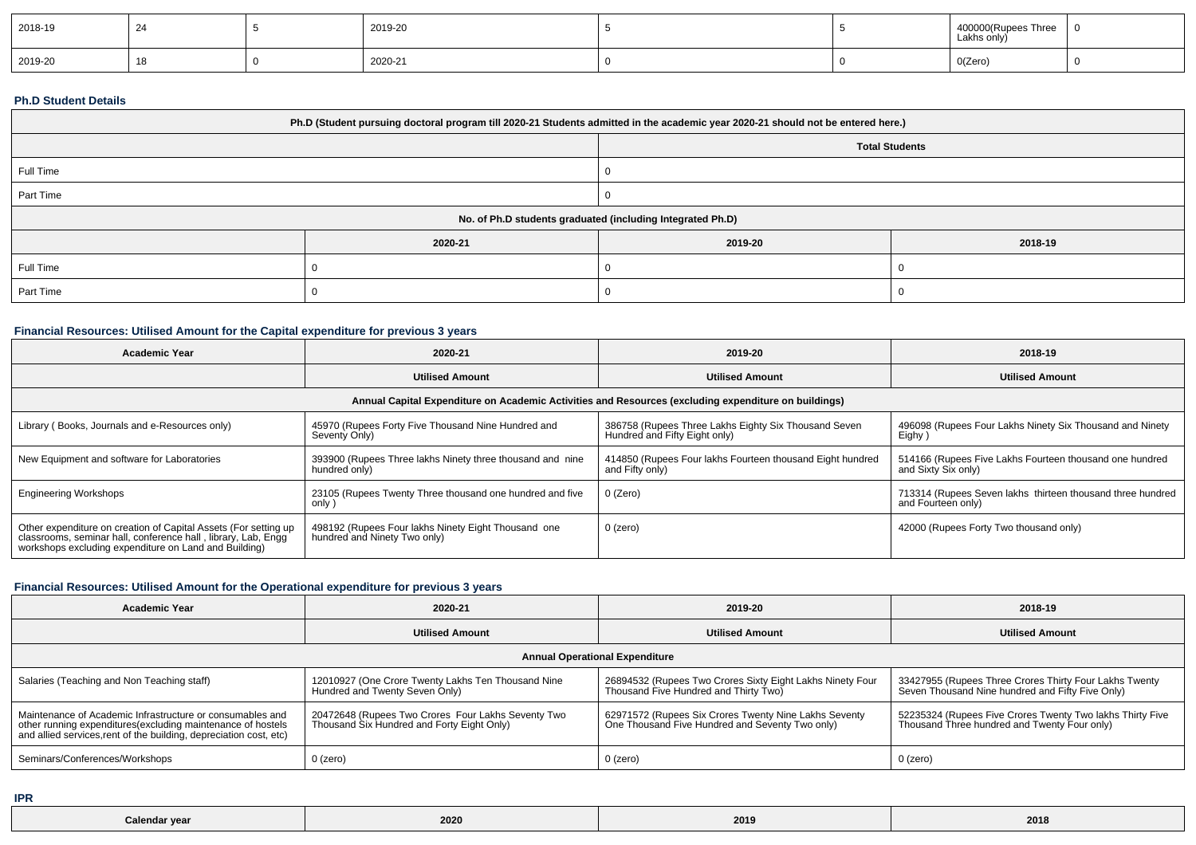| 2018-19 |  | 2019-20 |  | . Three<br>Hoopoor<br>Lakhs only) | $\mathbf{I}$ |
|---------|--|---------|--|-----------------------------------|--------------|
| 2019-20 |  | 2020-21 |  | O(Zero)                           |              |

#### **Ph.D Student Details**

| Ph.D (Student pursuing doctoral program till 2020-21 Students admitted in the academic year 2020-21 should not be entered here.) |         |                                                            |         |  |  |
|----------------------------------------------------------------------------------------------------------------------------------|---------|------------------------------------------------------------|---------|--|--|
|                                                                                                                                  |         | <b>Total Students</b>                                      |         |  |  |
| Full Time                                                                                                                        |         |                                                            |         |  |  |
| Part Time                                                                                                                        |         |                                                            |         |  |  |
|                                                                                                                                  |         | No. of Ph.D students graduated (including Integrated Ph.D) |         |  |  |
|                                                                                                                                  | 2020-21 | 2019-20                                                    | 2018-19 |  |  |
| Full Time                                                                                                                        |         |                                                            |         |  |  |
| Part Time                                                                                                                        |         |                                                            |         |  |  |

### **Financial Resources: Utilised Amount for the Capital expenditure for previous 3 years**

| <b>Academic Year</b>                                                                                                                                                                      | 2020-21                                                                             | 2019-20                                                                                              | 2018-19                                                                          |
|-------------------------------------------------------------------------------------------------------------------------------------------------------------------------------------------|-------------------------------------------------------------------------------------|------------------------------------------------------------------------------------------------------|----------------------------------------------------------------------------------|
|                                                                                                                                                                                           | <b>Utilised Amount</b>                                                              | <b>Utilised Amount</b>                                                                               | <b>Utilised Amount</b>                                                           |
|                                                                                                                                                                                           |                                                                                     | Annual Capital Expenditure on Academic Activities and Resources (excluding expenditure on buildings) |                                                                                  |
| Library (Books, Journals and e-Resources only)                                                                                                                                            | 45970 (Rupees Forty Five Thousand Nine Hundred and<br>Seventy Only)                 | 386758 (Rupees Three Lakhs Eighty Six Thousand Seven<br>Hundred and Fifty Eight only)                | 496098 (Rupees Four Lakhs Ninety Six Thousand and Ninety<br>Eighy)               |
| New Equipment and software for Laboratories                                                                                                                                               | 393900 (Rupees Three lakhs Ninety three thousand and nine<br>hundred only)          | 414850 (Rupees Four lakhs Fourteen thousand Eight hundred<br>and Fifty only)                         | 514166 (Rupees Five Lakhs Fourteen thousand one hundred<br>and Sixty Six only)   |
| <b>Engineering Workshops</b>                                                                                                                                                              | 23105 (Rupees Twenty Three thousand one hundred and five<br>only)                   | 0 (Zero)                                                                                             | 713314 (Rupees Seven lakhs thirteen thousand three hundred<br>and Fourteen only) |
| Other expenditure on creation of Capital Assets (For setting up<br>classrooms, seminar hall, conference hall, library, Lab, Engq<br>workshops excluding expenditure on Land and Building) | 498192 (Rupees Four lakhs Ninety Eight Thousand one<br>hundred and Ninety Two only) | 0 (zero)                                                                                             | 42000 (Rupees Forty Two thousand only)                                           |

### **Financial Resources: Utilised Amount for the Operational expenditure for previous 3 years**

| <b>Academic Year</b>                                                                                                                                                                            | 2020-21                                                                                          | 2019-20                                                                                                  | 2018-19                                                                                                    |  |  |  |  |
|-------------------------------------------------------------------------------------------------------------------------------------------------------------------------------------------------|--------------------------------------------------------------------------------------------------|----------------------------------------------------------------------------------------------------------|------------------------------------------------------------------------------------------------------------|--|--|--|--|
|                                                                                                                                                                                                 | <b>Utilised Amount</b>                                                                           | <b>Utilised Amount</b>                                                                                   | <b>Utilised Amount</b>                                                                                     |  |  |  |  |
| <b>Annual Operational Expenditure</b>                                                                                                                                                           |                                                                                                  |                                                                                                          |                                                                                                            |  |  |  |  |
| Salaries (Teaching and Non Teaching staff)                                                                                                                                                      | 12010927 (One Crore Twenty Lakhs Ten Thousand Nine<br>Hundred and Twenty Seven Only)             | 26894532 (Rupees Two Crores Sixty Eight Lakhs Ninety Four<br>Thousand Five Hundred and Thirty Two)       | 33427955 (Rupees Three Crores Thirty Four Lakhs Twenty<br>Seven Thousand Nine hundred and Fifty Five Only) |  |  |  |  |
| Maintenance of Academic Infrastructure or consumables and<br>other running expenditures (excluding maintenance of hostels<br>and allied services, rent of the building, depreciation cost, etc) | 20472648 (Rupees Two Crores Four Lakhs Seventy Two<br>Thousand Six Hundred and Forty Eight Only) | 62971572 (Rupees Six Crores Twenty Nine Lakhs Seventy<br>One Thousand Five Hundred and Seventy Two only) | 52235324 (Rupees Five Crores Twenty Two lakhs Thirty Five<br>Thousand Three hundred and Twenty Four only)  |  |  |  |  |
| Seminars/Conferences/Workshops                                                                                                                                                                  | $0$ (zero)                                                                                       | $0$ (zero)                                                                                               | 0 (zero)                                                                                                   |  |  |  |  |

**IPR**

| ----<br>-----<br>vca<br><b>Jaicliua</b> | 2020<br>FOLD | 2019 | 2018 |
|-----------------------------------------|--------------|------|------|
|-----------------------------------------|--------------|------|------|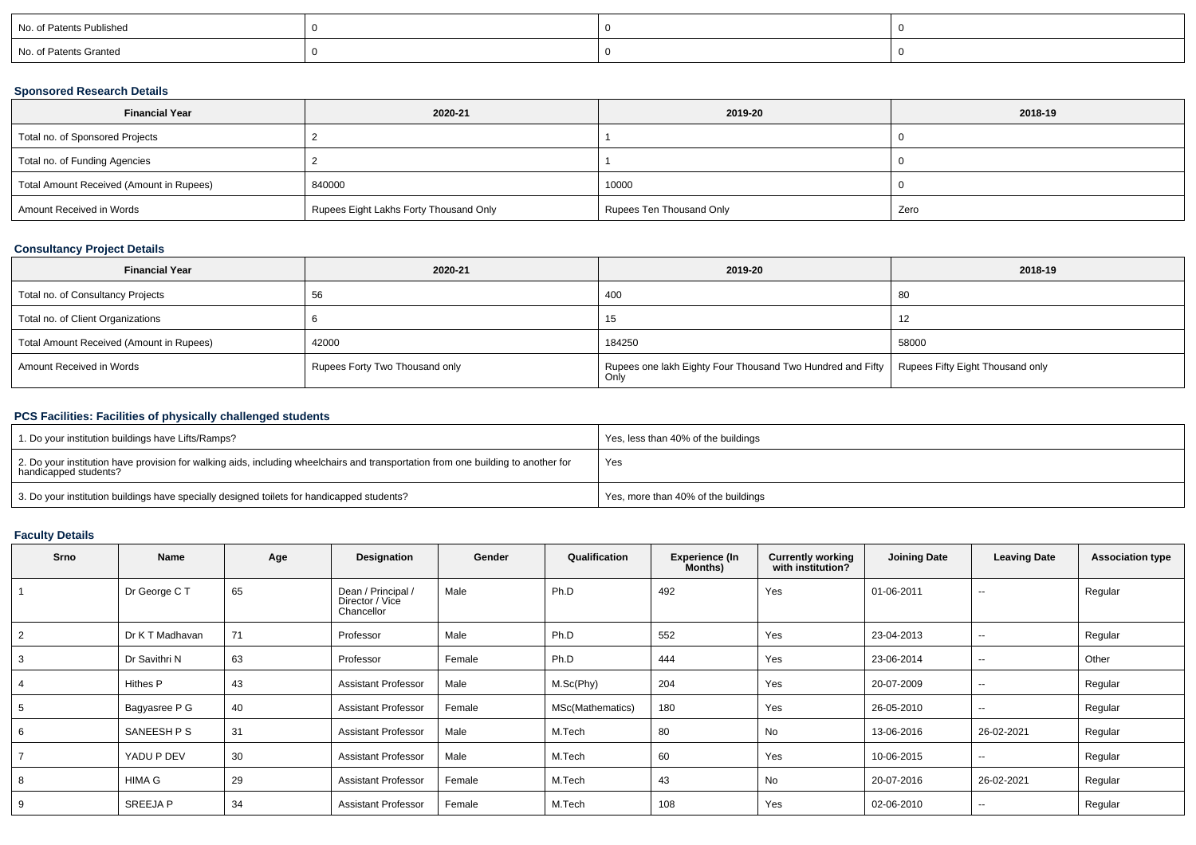| No. of Patents Published |  |  |
|--------------------------|--|--|
| No. of Patents Granted   |  |  |

### **Sponsored Research Details**

| <b>Financial Year</b>                    | 2020-21                                | 2019-20                  | 2018-19 |
|------------------------------------------|----------------------------------------|--------------------------|---------|
| Total no. of Sponsored Projects          |                                        |                          |         |
| Total no. of Funding Agencies            |                                        |                          |         |
| Total Amount Received (Amount in Rupees) | 840000                                 | 10000                    |         |
| Amount Received in Words                 | Rupees Eight Lakhs Forty Thousand Only | Rupees Ten Thousand Only | Zero    |

## **Consultancy Project Details**

| <b>Financial Year</b>                    | 2020-21                        | 2019-20                                                                                               | 2018-19 |
|------------------------------------------|--------------------------------|-------------------------------------------------------------------------------------------------------|---------|
| Total no. of Consultancy Projects        |                                | 400                                                                                                   | -80     |
| Total no. of Client Organizations        |                                | 15                                                                                                    | 12      |
| Total Amount Received (Amount in Rupees) | 42000                          | 184250                                                                                                | 58000   |
| Amount Received in Words                 | Rupees Forty Two Thousand only | Rupees one lakh Eighty Four Thousand Two Hundred and Fifty   Rupees Fifty Eight Thousand only<br>Only |         |

# **PCS Facilities: Facilities of physically challenged students**

| 1. Do your institution buildings have Lifts/Ramps?                                                                                                         | Yes, less than 40% of the buildings |
|------------------------------------------------------------------------------------------------------------------------------------------------------------|-------------------------------------|
| 2. Do your institution have provision for walking aids, including wheelchairs and transportation from one building to another for<br>handicapped students? | Yes                                 |
| 3. Do your institution buildings have specially designed toilets for handicapped students?                                                                 | Yes, more than 40% of the buildings |

# **Faculty Details**

| <b>Srno</b> | Name            | Age | Designation                                         | Gender | Qualification    | <b>Experience (In</b><br>Months) | <b>Currently working</b><br>with institution? | <b>Joining Date</b> | <b>Leaving Date</b> | <b>Association type</b> |
|-------------|-----------------|-----|-----------------------------------------------------|--------|------------------|----------------------------------|-----------------------------------------------|---------------------|---------------------|-------------------------|
|             | Dr George CT    | 65  | Dean / Principal /<br>Director / Vice<br>Chancellor | Male   | Ph.D             | 492                              | Yes                                           | 01-06-2011          | $\sim$              | Regular                 |
|             | Dr K T Madhavan | 71  | Professor                                           | Male   | Ph.D             | 552                              | Yes                                           | 23-04-2013          | $\sim$              | Regular                 |
|             | Dr Savithri N   | 63  | Professor                                           | Female | Ph.D             | 444                              | Yes                                           | 23-06-2014          | $\sim$              | Other                   |
|             | Hithes P        | 43  | <b>Assistant Professor</b>                          | Male   | M.Sc(Phy)        | 204                              | Yes                                           | 20-07-2009          | $\sim$              | Regular                 |
|             | Bagyasree P G   | 40  | <b>Assistant Professor</b>                          | Female | MSc(Mathematics) | 180                              | Yes                                           | 26-05-2010          | $\sim$              | Regular                 |
| 6           | SANEESH P S     | 31  | <b>Assistant Professor</b>                          | Male   | M.Tech           | 80                               | No                                            | 13-06-2016          | 26-02-2021          | Regular                 |
|             | YADU P DEV      | 30  | <b>Assistant Professor</b>                          | Male   | M.Tech           | 60                               | Yes                                           | 10-06-2015          | $\sim$              | Regular                 |
|             | HIMA G          | 29  | <b>Assistant Professor</b>                          | Female | M.Tech           | 43                               | No                                            | 20-07-2016          | 26-02-2021          | Regular                 |
| 9           | SREEJA P        | 34  | <b>Assistant Professor</b>                          | Female | M.Tech           | 108                              | Yes                                           | 02-06-2010          | $\sim$              | Regular                 |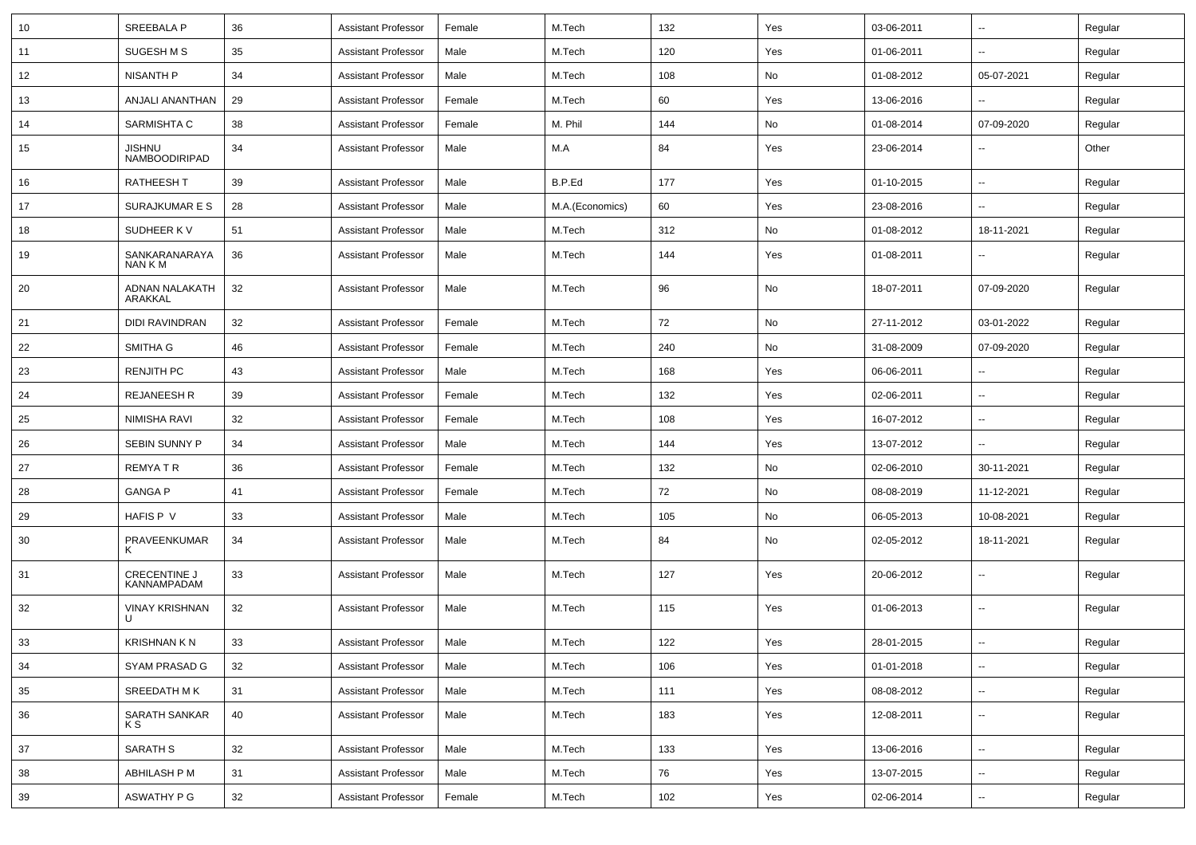| 10 | SREEBALA P                         | 36 | <b>Assistant Professor</b> | Female | M.Tech          | 132 | Yes | 03-06-2011 | $\sim$                   | Regular |
|----|------------------------------------|----|----------------------------|--------|-----------------|-----|-----|------------|--------------------------|---------|
| 11 | SUGESH M S                         | 35 | <b>Assistant Professor</b> | Male   | M.Tech          | 120 | Yes | 01-06-2011 | $\overline{\phantom{a}}$ | Regular |
| 12 | NISANTH P                          | 34 | <b>Assistant Professor</b> | Male   | M.Tech          | 108 | No  | 01-08-2012 | 05-07-2021               | Regular |
| 13 | ANJALI ANANTHAN                    | 29 | <b>Assistant Professor</b> | Female | M.Tech          | 60  | Yes | 13-06-2016 |                          | Regular |
| 14 | SARMISHTA C                        | 38 | <b>Assistant Professor</b> | Female | M. Phil         | 144 | No  | 01-08-2014 | 07-09-2020               | Regular |
| 15 | <b>JISHNU</b><br>NAMBOODIRIPAD     | 34 | <b>Assistant Professor</b> | Male   | M.A             | 84  | Yes | 23-06-2014 | $\sim$                   | Other   |
| 16 | <b>RATHEESH T</b>                  | 39 | <b>Assistant Professor</b> | Male   | B.P.Ed          | 177 | Yes | 01-10-2015 | $\sim$                   | Regular |
| 17 | SURAJKUMAR E S                     | 28 | <b>Assistant Professor</b> | Male   | M.A.(Economics) | 60  | Yes | 23-08-2016 | $\sim$                   | Regular |
| 18 | SUDHEER K V                        | 51 | <b>Assistant Professor</b> | Male   | M.Tech          | 312 | No  | 01-08-2012 | 18-11-2021               | Regular |
| 19 | SANKARANARAYA<br>NAN K M           | 36 | <b>Assistant Professor</b> | Male   | M.Tech          | 144 | Yes | 01-08-2011 | $\sim$                   | Regular |
| 20 | ADNAN NALAKATH<br>ARAKKAL          | 32 | <b>Assistant Professor</b> | Male   | M.Tech          | 96  | No  | 18-07-2011 | 07-09-2020               | Regular |
| 21 | <b>DIDI RAVINDRAN</b>              | 32 | <b>Assistant Professor</b> | Female | M.Tech          | 72  | No  | 27-11-2012 | 03-01-2022               | Regular |
| 22 | SMITHA G                           | 46 | <b>Assistant Professor</b> | Female | M.Tech          | 240 | No  | 31-08-2009 | 07-09-2020               | Regular |
| 23 | <b>RENJITH PC</b>                  | 43 | <b>Assistant Professor</b> | Male   | M.Tech          | 168 | Yes | 06-06-2011 |                          | Regular |
| 24 | <b>REJANEESH R</b>                 | 39 | <b>Assistant Professor</b> | Female | M.Tech          | 132 | Yes | 02-06-2011 | $\overline{a}$           | Regular |
| 25 | NIMISHA RAVI                       | 32 | <b>Assistant Professor</b> | Female | M.Tech          | 108 | Yes | 16-07-2012 | $\sim$                   | Regular |
| 26 | SEBIN SUNNY P                      | 34 | <b>Assistant Professor</b> | Male   | M.Tech          | 144 | Yes | 13-07-2012 | --                       | Regular |
| 27 | REMYA T R                          | 36 | Assistant Professor        | Female | M.Tech          | 132 | No  | 02-06-2010 | 30-11-2021               | Regular |
| 28 | <b>GANGA P</b>                     | 41 | <b>Assistant Professor</b> | Female | M.Tech          | 72  | No  | 08-08-2019 | 11-12-2021               | Regular |
| 29 | <b>HAFIS P V</b>                   | 33 | <b>Assistant Professor</b> | Male   | M.Tech          | 105 | No  | 06-05-2013 | 10-08-2021               | Regular |
| 30 | PRAVEENKUMAR<br>к                  | 34 | <b>Assistant Professor</b> | Male   | M.Tech          | 84  | No  | 02-05-2012 | 18-11-2021               | Regular |
| 31 | <b>CRECENTINE J</b><br>KANNAMPADAM | 33 | <b>Assistant Professor</b> | Male   | M.Tech          | 127 | Yes | 20-06-2012 | $\sim$                   | Regular |
| 32 | <b>VINAY KRISHNAN</b>              | 32 | <b>Assistant Professor</b> | Male   | M.Tech          | 115 | Yes | 01-06-2013 | $\sim$                   | Regular |
| 33 | <b>KRISHNAN K N</b>                | 33 | <b>Assistant Professor</b> | Male   | M.Tech          | 122 | Yes | 28-01-2015 | $\overline{\phantom{a}}$ | Regular |
| 34 | SYAM PRASAD G                      | 32 | <b>Assistant Professor</b> | Male   | M.Tech          | 106 | Yes | 01-01-2018 | $\sim$                   | Regular |
| 35 | SREEDATH MK                        | 31 | <b>Assistant Professor</b> | Male   | M.Tech          | 111 | Yes | 08-08-2012 | $\sim$                   | Regular |
| 36 | SARATH SANKAR<br>K S               | 40 | <b>Assistant Professor</b> | Male   | M.Tech          | 183 | Yes | 12-08-2011 | $\sim$                   | Regular |
| 37 | SARATH S                           | 32 | <b>Assistant Professor</b> | Male   | M.Tech          | 133 | Yes | 13-06-2016 | $\sim$                   | Regular |
| 38 | ABHILASH P M                       | 31 | <b>Assistant Professor</b> | Male   | M.Tech          | 76  | Yes | 13-07-2015 | $\sim$                   | Regular |
| 39 | ASWATHY P G                        | 32 | <b>Assistant Professor</b> | Female | M.Tech          | 102 | Yes | 02-06-2014 | $\sim$                   | Regular |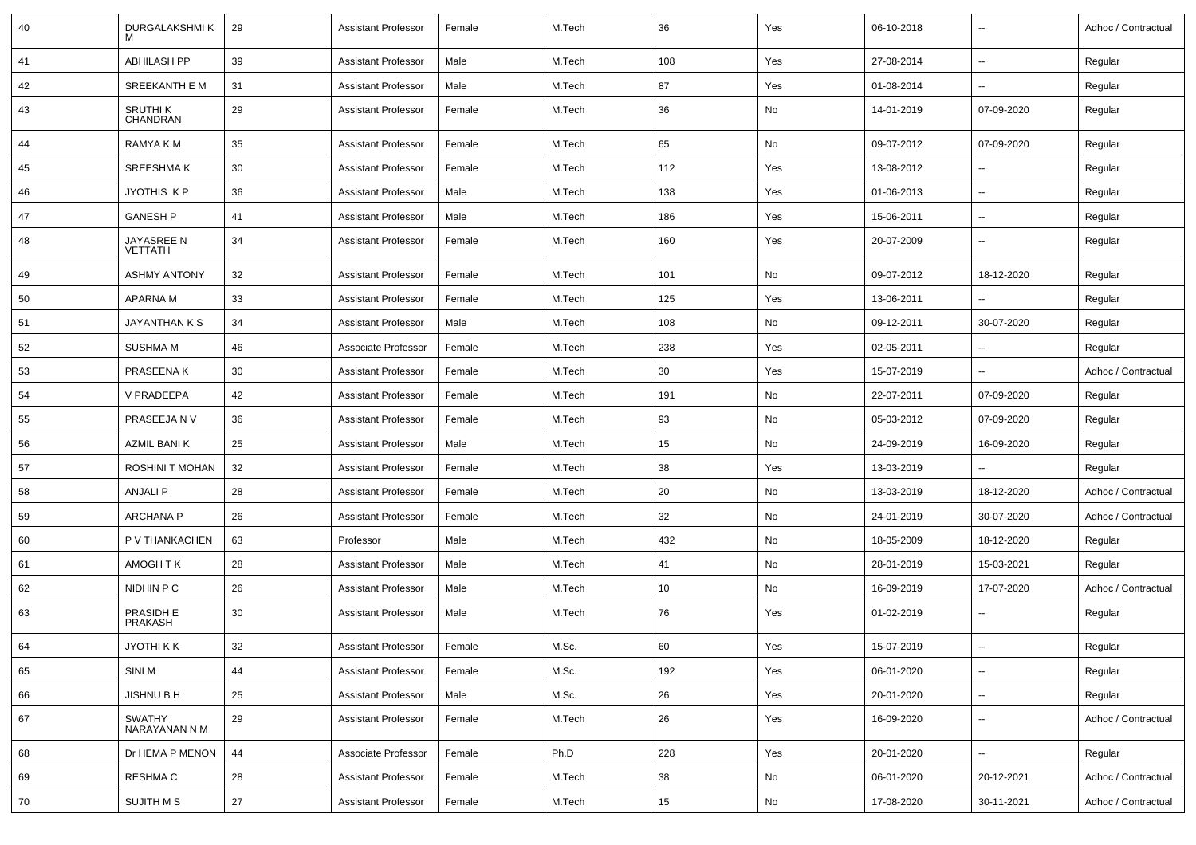| 40 | DURGALAKSHMI K                 | 29 | <b>Assistant Professor</b> | Female | M.Tech | 36  | Yes | 06-10-2018 | $\overline{\phantom{a}}$ | Adhoc / Contractual |
|----|--------------------------------|----|----------------------------|--------|--------|-----|-----|------------|--------------------------|---------------------|
| 41 | <b>ABHILASH PP</b>             | 39 | <b>Assistant Professor</b> | Male   | M.Tech | 108 | Yes | 27-08-2014 | $\overline{\phantom{a}}$ | Regular             |
| 42 | SREEKANTH E M                  | 31 | <b>Assistant Professor</b> | Male   | M.Tech | 87  | Yes | 01-08-2014 | $\overline{\phantom{a}}$ | Regular             |
| 43 | SRUTHI K<br>CHANDRAN           | 29 | <b>Assistant Professor</b> | Female | M.Tech | 36  | No  | 14-01-2019 | 07-09-2020               | Regular             |
| 44 | RAMYA K M                      | 35 | <b>Assistant Professor</b> | Female | M.Tech | 65  | No  | 09-07-2012 | 07-09-2020               | Regular             |
| 45 | <b>SREESHMAK</b>               | 30 | <b>Assistant Professor</b> | Female | M.Tech | 112 | Yes | 13-08-2012 | $\overline{\phantom{a}}$ | Regular             |
| 46 | JYOTHIS KP                     | 36 | <b>Assistant Professor</b> | Male   | M.Tech | 138 | Yes | 01-06-2013 | $\overline{\phantom{a}}$ | Regular             |
| 47 | <b>GANESH P</b>                | 41 | <b>Assistant Professor</b> | Male   | M.Tech | 186 | Yes | 15-06-2011 | $\overline{\phantom{a}}$ | Regular             |
| 48 | JAYASREE N<br><b>VETTATH</b>   | 34 | <b>Assistant Professor</b> | Female | M.Tech | 160 | Yes | 20-07-2009 | $\overline{\phantom{a}}$ | Regular             |
| 49 | <b>ASHMY ANTONY</b>            | 32 | <b>Assistant Professor</b> | Female | M.Tech | 101 | No  | 09-07-2012 | 18-12-2020               | Regular             |
| 50 | <b>APARNAM</b>                 | 33 | Assistant Professor        | Female | M.Tech | 125 | Yes | 13-06-2011 | $\sim$                   | Regular             |
| 51 | JAYANTHAN K S                  | 34 | <b>Assistant Professor</b> | Male   | M.Tech | 108 | No  | 09-12-2011 | 30-07-2020               | Regular             |
| 52 | <b>SUSHMA M</b>                | 46 | Associate Professor        | Female | M.Tech | 238 | Yes | 02-05-2011 | $\overline{\phantom{a}}$ | Regular             |
| 53 | PRASEENA K                     | 30 | <b>Assistant Professor</b> | Female | M.Tech | 30  | Yes | 15-07-2019 | $\overline{\phantom{a}}$ | Adhoc / Contractual |
| 54 | V PRADEEPA                     | 42 | <b>Assistant Professor</b> | Female | M.Tech | 191 | No  | 22-07-2011 | 07-09-2020               | Regular             |
| 55 | PRASEEJA N V                   | 36 | Assistant Professor        | Female | M.Tech | 93  | No  | 05-03-2012 | 07-09-2020               | Regular             |
| 56 | AZMIL BANI K                   | 25 | <b>Assistant Professor</b> | Male   | M.Tech | 15  | No  | 24-09-2019 | 16-09-2020               | Regular             |
| 57 | ROSHINI T MOHAN                | 32 | Assistant Professor        | Female | M.Tech | 38  | Yes | 13-03-2019 | $\overline{\phantom{a}}$ | Regular             |
| 58 | <b>ANJALI P</b>                | 28 | <b>Assistant Professor</b> | Female | M.Tech | 20  | No  | 13-03-2019 | 18-12-2020               | Adhoc / Contractual |
| 59 | <b>ARCHANA P</b>               | 26 | <b>Assistant Professor</b> | Female | M.Tech | 32  | No  | 24-01-2019 | 30-07-2020               | Adhoc / Contractual |
| 60 | P V THANKACHEN                 | 63 | Professor                  | Male   | M.Tech | 432 | No  | 18-05-2009 | 18-12-2020               | Regular             |
| 61 | AMOGH TK                       | 28 | <b>Assistant Professor</b> | Male   | M.Tech | 41  | No  | 28-01-2019 | 15-03-2021               | Regular             |
| 62 | NIDHIN P C                     | 26 | <b>Assistant Professor</b> | Male   | M.Tech | 10  | No  | 16-09-2019 | 17-07-2020               | Adhoc / Contractual |
| 63 | PRASIDH E<br><b>PRAKASH</b>    | 30 | <b>Assistant Professor</b> | Male   | M.Tech | 76  | Yes | 01-02-2019 | $\overline{\phantom{a}}$ | Regular             |
| 64 | <b>JYOTHIKK</b>                | 32 | <b>Assistant Professor</b> | Female | M.Sc.  | 60  | Yes | 15-07-2019 | $\sim$                   | Regular             |
| 65 | SINI M                         | 44 | <b>Assistant Professor</b> | Female | M.Sc.  | 192 | Yes | 06-01-2020 | $\overline{\phantom{a}}$ | Regular             |
| 66 | JISHNU B H                     | 25 | <b>Assistant Professor</b> | Male   | M.Sc.  | 26  | Yes | 20-01-2020 | $\overline{\phantom{a}}$ | Regular             |
| 67 | <b>SWATHY</b><br>NARAYANAN N M | 29 | <b>Assistant Professor</b> | Female | M.Tech | 26  | Yes | 16-09-2020 | $\overline{\phantom{a}}$ | Adhoc / Contractual |
| 68 | Dr HEMA P MENON                | 44 | Associate Professor        | Female | Ph.D   | 228 | Yes | 20-01-2020 | $\ddotsc$                | Regular             |
| 69 | <b>RESHMA C</b>                | 28 | <b>Assistant Professor</b> | Female | M.Tech | 38  | No  | 06-01-2020 | 20-12-2021               | Adhoc / Contractual |
| 70 | SUJITH M S                     | 27 | <b>Assistant Professor</b> | Female | M.Tech | 15  | No  | 17-08-2020 | 30-11-2021               | Adhoc / Contractual |